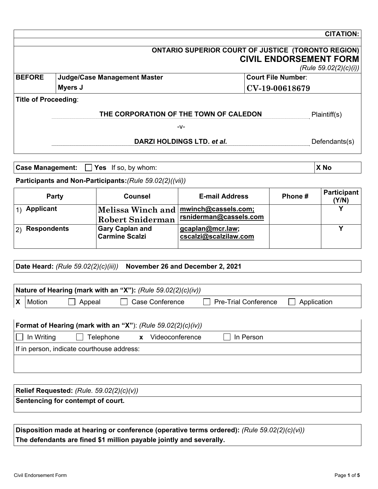|                              |                | <b>CITATION:</b>                                                                                                          |
|------------------------------|----------------|---------------------------------------------------------------------------------------------------------------------------|
|                              |                | <b>CIVIL ENDORSEMENT FORM</b>                                                                                             |
|                              |                | (Rule 59.02(2)(c)(i))                                                                                                     |
| Judge/Case Management Master |                |                                                                                                                           |
| Myers J                      | CV-19-00618679 |                                                                                                                           |
| <b>Title of Proceeding:</b>  |                |                                                                                                                           |
|                              |                | Plaintiff(s)                                                                                                              |
| -V-                          |                |                                                                                                                           |
| DARZI HOLDINGS LTD. et al.   |                | Defendants(s)                                                                                                             |
|                              |                | ONTARIO SUPERIOR COURT OF JUSTICE (TORONTO REGION)<br><b>Court File Number:</b><br>THE CORPORATION OF THE TOWN OF CALEDON |

|  | <b>Case Management:</b> $\Box$ <b>Yes</b> If so, by whom: | X No |
|--|-----------------------------------------------------------|------|
|--|-----------------------------------------------------------|------|

**Participants and Non-Participants:***(Rule 59.02(2)((vii))* 

| Party                     | <b>Counsel</b>                                                   | <b>E-mail Address</b>                     | Phone # | Participant<br>(Y/N) |
|---------------------------|------------------------------------------------------------------|-------------------------------------------|---------|----------------------|
| <b>Applicant</b>          | Melissa Winch and mwinch@cassels.com;<br><b>Robert Sniderman</b> | rsniderman@cassels.com                    |         |                      |
| <b>Respondents</b><br> 2) | <b>Gary Caplan and</b><br><b>Carmine Scalzi</b>                  | gcaplan@mcr.law;<br>cscalzi@scalzilaw.com |         |                      |

**Date Heard:** *(Rule 59.02(2)(c)(iii))* **November 26 and December 2, 2021** 

| Nature of Hearing (mark with an "X"): (Rule 59.02(2)(c)(iv)) |            |           |                                                                |                             |             |  |
|--------------------------------------------------------------|------------|-----------|----------------------------------------------------------------|-----------------------------|-------------|--|
|                                                              | Motion     | Appeal    | <b>Case Conference</b>                                         | <b>Pre-Trial Conference</b> | Application |  |
|                                                              |            |           |                                                                |                             |             |  |
|                                                              |            |           |                                                                |                             |             |  |
|                                                              |            |           | Format of Hearing (mark with an "X"): $(Rule 59.02(2)(c)(iv))$ |                             |             |  |
|                                                              | In Writing | Telephone | Videoconference<br>X                                           | ∣ In Person                 |             |  |

**Relief Requested:** *(Rule. 59.02(2)(c)(v))* **Sentencing for contempt of court.** 

**Disposition made at hearing or conference (operative terms ordered):** *(Rule 59.02(2)(c)(vi))*  **The defendants are fined \$1 million payable jointly and severally.**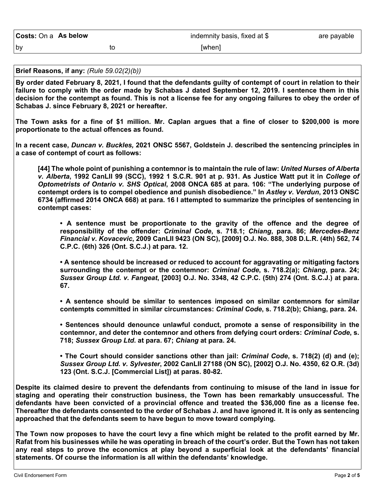**Brief Reasons, if any:** *(Rule 59.02(2)(b))*

**By order dated February 8, 2021, I found that the defendants guilty of contempt of court in relation to their failure to comply with the order made by Schabas J dated September 12, 2019. I sentence them in this decision for the contempt as found. This is not a license fee for any ongoing failures to obey the order of Schabas J. since February 8, 2021 or hereafter.** 

**The Town asks for a fine of \$1 million. Mr. Caplan argues that a fine of closer to \$200,000 is more proportionate to the actual offences as found.** 

**In a recent case,** *Duncan v. Buckles,* **2021 ONSC 5567, Goldstein J. described the sentencing principles in a case of contempt of court as follows:** 

**[44] The whole point of punishing a contemnor is to maintain the rule of law:** *United Nurses of Alberta v. Alberta***, 1992 CanLII 99 (SCC), 1992 1 S.C.R. 901 at p. 931. As Justice Watt put it in** *College of Optometrists of Ontario v. SHS Optical***, 2008 ONCA 685 at para. 106: "The underlying purpose of contempt orders is to compel obedience and punish disobedience." In** *Astley v. Verdun***, 2013 ONSC 6734 (affirmed 2014 ONCA 668) at para. 16 I attempted to summarize the principles of sentencing in contempt cases:** 

**• A sentence must be proportionate to the gravity of the offence and the degree of responsibility of the offender:** *Criminal Code***, s. 718.1;** *Chiang***, para. 86;** *Mercedes-Benz Financial v. Kovacevic***, 2009 CanLII 9423 (ON SC), [2009] O.J. No. 888, 308 D.L.R. (4th) 562, 74 C.P.C. (6th) 326 (Ont. S.C.J.) at para. 12.** 

**• A sentence should be increased or reduced to account for aggravating or mitigating factors surrounding the contempt or the contemnor:** *Criminal Code***, s. 718.2(a);** *Chiang***, para. 24;**  *Sussex Group Ltd. v. Fangeat***, [2003] O.J. No. 3348, 42 C.P.C. (5th) 274 (Ont. S.C.J.) at para. 67.** 

**• A sentence should be similar to sentences imposed on similar contemnors for similar contempts committed in similar circumstances:** *Criminal Code***, s. 718.2(b); Chiang, para. 24.** 

**• Sentences should denounce unlawful conduct, promote a sense of responsibility in the contemnor, and deter the contemnor and others from defying court orders:** *Criminal Code***, s. 718;** *Sussex Group Ltd***. at para. 67;** *Chiang* **at para. 24.** 

**• The Court should consider sanctions other than jail:** *Criminal Code***, s. 718(2) (d) and (e);**  *Sussex Group Ltd. v. Sylvester***, 2002 CanLII 27188 (ON SC), [2002] O.J. No. 4350, 62 O.R. (3d) 123 (Ont. S.C.J. [Commercial List]) at paras. 80-82.** 

**Despite its claimed desire to prevent the defendants from continuing to misuse of the land in issue for staging and operating their construction business, the Town has been remarkably unsuccessful. The defendants have been convicted of a provincial offence and treated the \$36,000 fine as a license fee. Thereafter the defendants consented to the order of Schabas J. and have ignored it. It is only as sentencing approached that the defendants seem to have begun to move toward complying.** 

**The Town now proposes to have the court levy a fine which might be related to the profit earned by Mr. Rafat from his businesses while he was operating in breach of the court's order. But the Town has not taken any real steps to prove the economics at play beyond a superficial look at the defendants' financial statements. Of course the information is all within the defendants' knowledge.**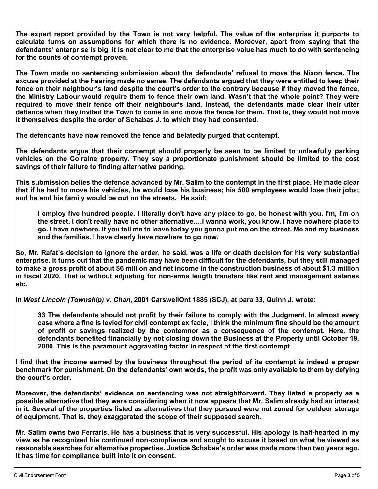**The expert report provided by the Town is not very helpful. The value of the enterprise it purports to calculate turns on assumptions for which there is no evidence. Moreover, apart from saying that the defendants' enterprise is big, it is not clear to me that the enterprise value has much to do with sentencing for the counts of contempt proven.** 

**The Town made no sentencing submission about the defendants' refusal to move the Nixon fence. The excuse provided at the hearing made no sense. The defendants argued that they were entitled to keep their fence on their neighbour's land despite the court's order to the contrary because if they moved the fence, the Ministry Labour would require them to fence their own land. Wasn't that the whole point? They were required to move their fence off their neighbour's land. Instead, the defendants made clear their utter defiance when they invited the Town to come in and move the fence for them. That is, they would not move it themselves despite the order of Schabas J. to which they had consented.** 

**The defendants have now removed the fence and belatedly purged that contempt.** 

**The defendants argue that their contempt should properly be seen to be limited to unlawfully parking vehicles on the Colraine property. They say a proportionate punishment should be limited to the cost savings of their failure to finding alternative parking.** 

**This submission belies the defence advanced by Mr. Salim to the contempt in the first place. He made clear that if he had to move his vehicles, he would lose his business; his 500 employees would lose their jobs; and he and his family would be out on the streets. He said:** 

**I employ five hundred people. I literally don't have any place to go, be honest with you. I'm, I'm on the street. I don't really have no other alternative….I wanna work, you know. I have nowhere place to go. I have nowhere. If you tell me to leave today you gonna put me on the street. Me and my business and the families. I have clearly have nowhere to go now.** 

**So, Mr. Rafat's decision to ignore the order, he said, was a life or death decision for his very substantial enterprise. It turns out that the pandemic may have been difficult for the defendants, but they still managed to make a gross profit of about \$6 million and net income in the construction business of about \$1.3 million in fiscal 2020. That is without adjusting for non-arms length transfers like rent and management salaries etc.** 

**In** *West Lincoln (Township) v. Chan***, 2001 CarswellOnt 1885 (SCJ), at para 33, Quinn J. wrote:** 

**33 The defendants should not profit by their failure to comply with the Judgment. In almost every case where a fine is levied for civil contempt ex facie, I think the minimum fine should be the amount of profit or savings realized by the contemnor as a consequence of the contempt. Here, the defendants benefited financially by not closing down the Business at the Property until October 19, 2000. This is the paramount aggravating factor in respect of the first contempt.** 

**I find that the income earned by the business throughout the period of its contempt is indeed a proper benchmark for punishment. On the defendants' own words, the profit was only available to them by defying the court's order.** 

**Moreover, the defendants' evidence on sentencing was not straightforward. They listed a property as a possible alternative that they were considering when it now appears that Mr. Salim already had an interest in it. Several of the properties listed as alternatives that they pursued were not zoned for outdoor storage of equipment. That is, they exaggerated the scope of their supposed search.** 

**Mr. Salim owns two Ferraris. He has a business that is very successful. His apology is half-hearted in my view as he recognized his continued non-compliance and sought to excuse it based on what he viewed as reasonable searches for alternative properties. Justice Schabas's order was made more than two years ago. It has time for compliance built into it on consent.**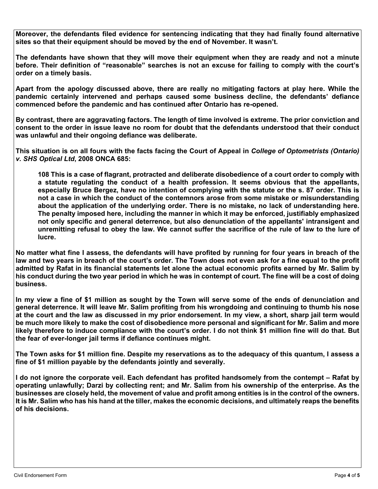**Moreover, the defendants filed evidence for sentencing indicating that they had finally found alternative sites so that their equipment should be moved by the end of November. It wasn't.** 

**The defendants have shown that they will move their equipment when they are ready and not a minute before. Their definition of "reasonable" searches is not an excuse for failing to comply with the court's order on a timely basis.** 

**Apart from the apology discussed above, there are really no mitigating factors at play here. While the pandemic certainly intervened and perhaps caused some business decline, the defendants' defiance commenced before the pandemic and has continued after Ontario has re-opened.** 

**By contrast, there are aggravating factors. The length of time involved is extreme. The prior conviction and consent to the order in issue leave no room for doubt that the defendants understood that their conduct was unlawful and their ongoing defiance was deliberate.** 

**This situation is on all fours with the facts facing the Court of Appeal in** *College of Optometrists (Ontario) v. SHS Optical Ltd***, 2008 ONCA 685:** 

**108 This is a case of flagrant, protracted and deliberate disobedience of a court order to comply with a statute regulating the conduct of a health profession. It seems obvious that the appellants, especially Bruce Bergez, have no intention of complying with the statute or the s. 87 order. This is not a case in which the conduct of the contemnors arose from some mistake or misunderstanding about the application of the underlying order. There is no mistake, no lack of understanding here. The penalty imposed here, including the manner in which it may be enforced, justifiably emphasized not only specific and general deterrence, but also denunciation of the appellants' intransigent and unremitting refusal to obey the law. We cannot suffer the sacrifice of the rule of law to the lure of lucre.** 

**No matter what fine I assess, the defendants will have profited by running for four years in breach of the law and two years in breach of the court's order. The Town does not even ask for a fine equal to the profit admitted by Rafat in its financial statements let alone the actual economic profits earned by Mr. Salim by his conduct during the two year period in which he was in contempt of court. The fine will be a cost of doing business.** 

**In my view a fine of \$1 million as sought by the Town will serve some of the ends of denunciation and general deterrence. It will leave Mr. Salim profiting from his wrongdoing and continuing to thumb his nose at the court and the law as discussed in my prior endorsement. In my view, a short, sharp jail term would be much more likely to make the cost of disobedience more personal and significant for Mr. Salim and more likely therefore to induce compliance with the court's order. I do not think \$1 million fine will do that. But the fear of ever-longer jail terms if defiance continues might.**

**The Town asks for \$1 million fine. Despite my reservations as to the adequacy of this quantum, I assess a fine of \$1 million payable by the defendants jointly and severally.** 

**I do not ignore the corporate veil. Each defendant has profited handsomely from the contempt – Rafat by operating unlawfully; Darzi by collecting rent; and Mr. Salim from his ownership of the enterprise. As the businesses are closely held, the movement of value and profit among entities is in the control of the owners. It is Mr. Salim who has his hand at the tiller, makes the economic decisions, and ultimately reaps the benefits of his decisions.**